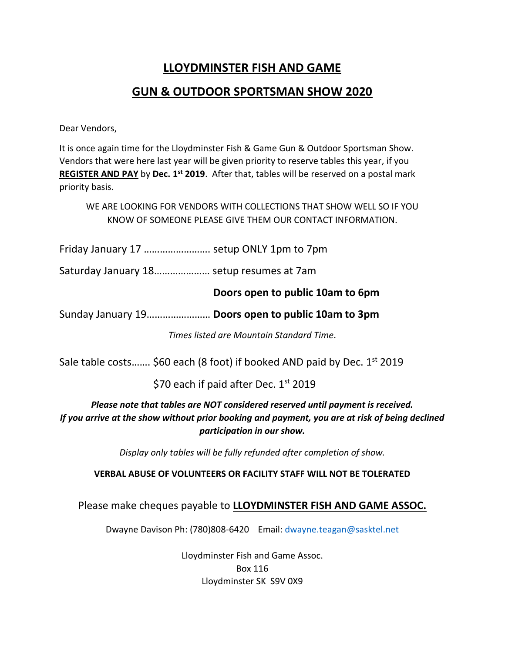## **LLOYDMINSTER FISH AND GAME**

## **GUN & OUTDOOR SPORTSMAN SHOW 2020**

Dear Vendors,

It is once again time for the Lloydminster Fish & Game Gun & Outdoor Sportsman Show. Vendors that were here last year will be given priority to reserve tables this year, if you **REGISTER AND PAY** by **Dec. 1st 2019**. After that, tables will be reserved on a postal mark priority basis.

WE ARE LOOKING FOR VENDORS WITH COLLECTIONS THAT SHOW WELL SO IF YOU KNOW OF SOMEONE PLEASE GIVE THEM OUR CONTACT INFORMATION.

Friday January 17 ……………………. setup ONLY 1pm to 7pm

Saturday January 18………………… setup resumes at 7am

## **Doors open to public 10am to 6pm**

Sunday January 19…………………… **Doors open to public 10am to 3pm**

*Times listed are Mountain Standard Time*.

Sale table costs....... \$60 each (8 foot) if booked AND paid by Dec.  $1<sup>st</sup>$  2019

\$70 each if paid after Dec. 1st 2019

*Please note that tables are NOT considered reserved until payment is received. If you arrive at the show without prior booking and payment, you are at risk of being declined participation in our show.*

*Display only tables will be fully refunded after completion of show.* 

## **VERBAL ABUSE OF VOLUNTEERS OR FACILITY STAFF WILL NOT BE TOLERATED**

Please make cheques payable to **LLOYDMINSTER FISH AND GAME ASSOC.**

Dwayne Davison Ph: (780)808-6420 Email: dwayne.teagan@sasktel.net

Lloydminster Fish and Game Assoc. Box 116 Lloydminster SK S9V 0X9